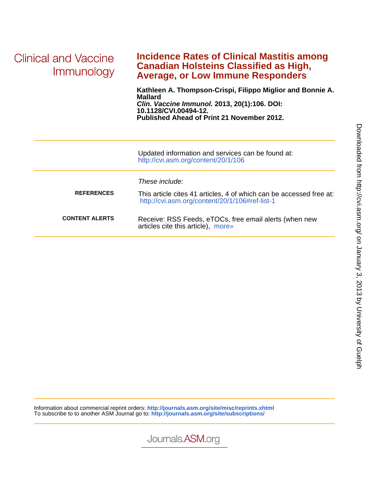| <b>Clinical and Vaccine</b><br><b>Immunology</b> | <b>Incidence Rates of Clinical Mastitis among</b><br><b>Canadian Holsteins Classified as High,</b><br><b>Average, or Low Immune Responders</b>                                               |  |  |
|--------------------------------------------------|----------------------------------------------------------------------------------------------------------------------------------------------------------------------------------------------|--|--|
|                                                  | Kathleen A. Thompson-Crispi, Filippo Miglior and Bonnie A.<br>Mallard<br>Clin. Vaccine Immunol. 2013, 20(1):106. DOI:<br>10.1128/CVI.00494-12.<br>Published Ahead of Print 21 November 2012. |  |  |
|                                                  | Updated information and services can be found at:<br>http://cvi.asm.org/content/20/1/106                                                                                                     |  |  |
|                                                  | These include:                                                                                                                                                                               |  |  |
| <b>REFERENCES</b>                                | This article cites 41 articles, 4 of which can be accessed free at:<br>http://cvi.asm.org/content/20/1/106#ref-list-1                                                                        |  |  |
| <b>CONTENT ALERTS</b>                            | Receive: RSS Feeds, eTOCs, free email alerts (when new<br>articles cite this article), more»                                                                                                 |  |  |

Information about commercial reprint orders: **http://journals.asm.org/site/misc/reprints.xhtml** To subscribe to to another ASM Journal go to: **http://journals.asm.org/site/subscriptions/**

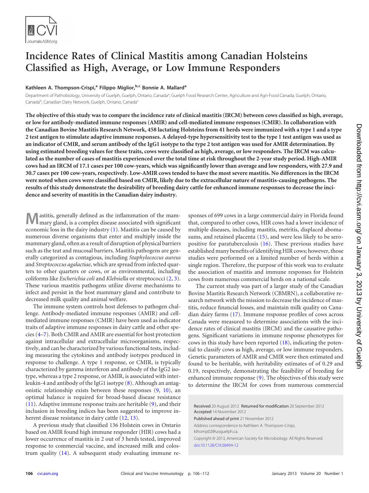

# **Incidence Rates of Clinical Mastitis among Canadian Holsteins Classified as High, Average, or Low Immune Responders**

## **Kathleen A. Thompson-Crispi, <sup>a</sup> Filippo Miglior, b,c Bonnie A. Mallarda**

Department of Pathobiology, University of Guelph, Guelph, Ontario, Canada<sup>a</sup>; Guelph Food Research Center, Agriculture and Agri-Food Canada, Guelph, Ontario, Canada<sup>b</sup>; Canadian Dairy Network, Guelph, Ontario, Canada<sup>c</sup>

**The objective of this study was to compare the incidence rate of clinical mastitis (IRCM) between cows classified as high, average, or low for antibody-mediated immune responses (AMIR) and cell-mediated immune responses (CMIR). In collaboration with the Canadian Bovine Mastitis Research Network, 458 lactating Holsteins from 41 herds were immunized with a type 1 and a type 2 test antigen to stimulate adaptive immune responses. A delayed-type hypersensitivity test to the type 1 test antigen was used as an indicator of CMIR, and serum antibody of the IgG1 isotype to the type 2 test antigen was used for AMIR determination. By using estimated breeding values for these traits, cows were classified as high, average, or low responders. The IRCM was calculated as the number of cases of mastitis experienced over the total time at risk throughout the 2-year study period. High-AMIR cows had an IRCM of 17.1 cases per 100 cow-years, which was significantly lower than average and low responders, with 27.9 and 30.7 cases per 100 cow-years, respectively. Low-AMIR cows tended to have the most severe mastitis. No differences in the IRCM were noted when cows were classified based on CMIR, likely due to the extracellular nature of mastitis-causing pathogens. The results of this study demonstrate the desirability of breeding dairy cattle for enhanced immune responses to decrease the incidence and severity of mastitis in the Canadian dairy industry.**

astitis, generally defined as the inflammation of the mammary gland, is a complex disease associated with significant economic loss in the dairy industry  $(1)$ . Mastitis can be caused by numerous diverse organisms that enter and multiply inside the mammary gland, often as a result of disruption of physical barriers such as the teat and mucosal barriers. Mastitis pathogens are generally categorized as contagious, including *Staphylococcus aureus* and *Streptococcus agalactiae*, which are spread from infected quarters to other quarters or cows, or as environmental, including coliforms like *Escherichia coli* and *Klebsiella* or streptococci [\(2,](#page-6-1) [3\)](#page-6-2). These various mastitis pathogens utilize diverse mechanisms to infect and persist in the host mammary gland and contribute to decreased milk quality and animal welfare.

The immune system controls host defenses to pathogen challenge. Antibody-mediated immune responses (AMIR) and cellmediated immune responses (CMIR) have been used as indicator traits of adaptive immune responses in dairy cattle and other species [\(4](#page-6-3)[–7\)](#page-6-4). Both CMIR and AMIR are essential for host protection against intracellular and extracellular microorganisms, respectively, and can be characterized by various functional tests, including measuring the cytokines and antibody isotypes produced in response to challenge. A type 1 response, or CMIR, is typically characterized by gamma interferon and antibody of the IgG2 isotype, whereas a type 2 response, or AMIR, is associated with interleukin-4 and antibody of the IgG1 isotype [\(8\)](#page-6-5). Although an antagonistic relationship exists between these responses [\(9,](#page-6-6) [10\)](#page-6-7), an optimal balance is required for broad-based disease resistance [\(11\)](#page-6-8). Adaptive immune response traits are heritable [\(9\)](#page-6-6), and their inclusion in breeding indices has been suggested to improve inherent disease resistance in dairy cattle [\(12,](#page-6-9) [13\)](#page-6-10).

A previous study that classified 136 Holstein cows in Ontario based on AMIR found high immune responder (HIR) cows had a lower occurrence of mastitis in 2 out of 3 herds tested, improved response to commercial vaccine, and increased milk and colostrum quality [\(14\)](#page-6-11). A subsequent study evaluating immune responses of 699 cows in a large commercial dairy in Florida found that, compared to other cows, HIR cows had a lower incidence of multiple diseases, including mastitis, metritis, displaced abomasums, and retained placenta [\(15\)](#page-6-12), and were less likely to be seropositive for paratuberculosis  $(16)$ . These previous studies have established many benefits of identifying HIR cows; however, those studies were performed on a limited number of herds within a single region. Therefore, the purpose of this work was to evaluate the association of mastitis and immune responses for Holstein cows from numerous commercial herds on a national scale.

The current study was part of a larger study of the Canadian Bovine Mastitis Research Network (CBMRN), a collaborative research network with the mission to decrease the incidence of mastitis, reduce financial losses, and maintain milk quality on Canadian dairy farms [\(17\)](#page-6-14). Immune response profiles of cows across Canada were measured to determine associations with the incidence rates of clinical mastitis (IRCM) and the causative pathogens. Significant variations in immune response phenotypes for cows in this study have been reported [\(18\)](#page-6-15), indicating the potential to classify cows as high, average, or low immune responders. Genetic parameters of AMIR and CMIR were then estimated and found to be heritable, with heritability estimates of of 0.29 and 0.19, respectively, demonstrating the feasibility of breeding for enhanced immune response [\(9\)](#page-6-6). The objectives of this study were to determine the IRCM for cows from numerous commercial

Received 20 August 2012 Returned for modification 20 September 2012 Accepted 14 November 2012

Published ahead of print 21 November 2012

Address correspondence to Kathleen A. Thompson-Crispi, kthomp02@uoguelph.ca. Copyright © 2013, American Society for Microbiology. All Rights Reserved. [doi:10.1128/CVI.00494-12](http://dx.doi.org/10.1128/CVI.00494-12)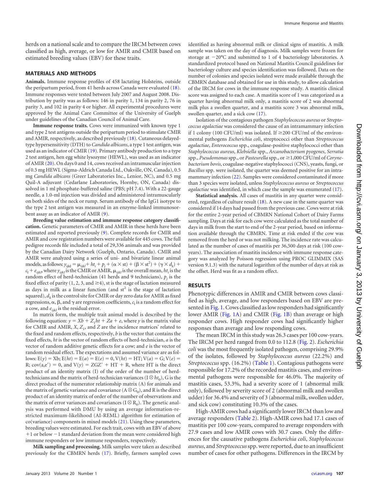herds on a national scale and to compare the IRCM between cows classified as high, average, or low for AMIR and CMIR based on estimated breeding values (EBV) for these traits.

# **MATERIALS AND METHODS**

**Animals.** Immune response profiles of 458 lactating Holsteins, outside the peripartum period, from 41 herds across Canada were evaluated [\(18\)](#page-6-15). Immune responses were tested between July 2007 and August 2008. Distribution by parity was as follows: 146 in parity 1, 134 in parity 2, 76 in parity 3, and 102 in parity 4 or higher. All experimental procedures were approved by the Animal Care Committee of the University of Guelph under guidelines of the Canadian Council of Animal Care.

**Immune response traits.** Cows were immunized with known type 1 and type 2 test antigens outside the peripartum period to stimulate CMIR and AMIR, respectively, as described previously [\(18\)](#page-6-15). Cutaneous delayedtype hypersensitivity (DTH) to *Candida albicans*, a type 1 test antigen, was used as an indicator of CMIR [\(19\)](#page-6-16). Primary antibody production to a type 2 test antigen, hen egg white lysozyme (HEWL), was used as an indicator of AMIR [\(20\)](#page-6-17). On days 0 and 14, cows received an intramuscular injection of 0.5 mg HEWL (Sigma-Aldrich Canada Ltd., Oakville, ON, Canada), 0.5 mg *Candida albicans* (Greer Laboratories Inc., Lenior, NC), and 0.5 mg Quil-A adjuvant (Cedarlane Laboratories, Hornby, ON, Canada) dissolved in 1 ml phosphate-buffered saline (PBS; pH 7.4). With a 22-gauge needle, a 1.0-ml injection was divided and administered intramuscularly on both sides of the neck or rump. Serum antibody of the IgG1 isotype to the type 2 test antigen was measured in an enzyme-linked immunosorbent assay as an indicator of AMIR [\(9\)](#page-6-6).

**Breeding value estimation and immune response category classification.** Genetic parameters of CMIR and AMIR in these herds have been estimated and reported previously [\(9\)](#page-6-6). Complete records for CMIR and AMIR and cow registration numbers were available for 445 cows. The full pedigree records file included a total of 29,336 animals and was provided by the Canadian Dairy Network (Guelph, Ontario, Canada). CMIR and AMIR were analyzed using a series of uni- and bivariate linear animal models, as follows:  $y_{ijkl} = \mu_{ijkl} + ht_i + p_j + (\alpha \times st) + (\beta \times st^2) + (\gamma \times d_k) +$  $c_1 + e_{ijk}$ , where  $y_{ijkl}$  is the CMIR or AMIR,  $\mu_{ijkl}$  is the overall mean,  $ht_i$  is the random effect of herd-technician (41 herds and 9 technicians),  $p_i$  is the fixed effect of parity  $(1, 2, 3,$  and  $\geq 4$ ), st is the stage of lactation measured as days in milk as a linear function (and  $st^2$  is the stage of lactation squared),  $d_k$  is the control site for CMIR or day zero data for AMIR as fixed regressions,  $\alpha$ ,  $\beta$ , and  $\gamma$  are regression coefficients,  $c_1$  is a random effect for a cow, and *eijkl* is the residual error.

In matrix form, the multiple trait animal model is described by the following equation:  $y = Xb + Z_1ht + Za + e$ , where *y* is the matrix value for CMIR and AMIR,  $X$ ,  $Z_1$ , and  $Z$  are the incidence matrices' related to the fixed and random effects, respectively, *b* is the vector that contains the fixed effects, *ht* is the vector of random effects of herd-technician, *a* is the vector of random additive genetic effects for a cow; and *e* is the vector of random residual effect. The expectations and assumed variance are as follows:  $E(y) = Xb$ ;  $E(ht) = E(a) = E(e) = 0$ ,  $V(ht) = HT$ ;  $V(a) = G$ ;  $V(e) =$ R;  $cov(a, e') = 0$ , and  $V(y) = ZGZ' + HT + R$ , where HT is the direct product of an identity matrix (I) of the order of the number of herdtechnicians and the matrix of herd-technician variances ( $I \otimes ht_0$ ), G is the direct product of the numerator relationship matrix (A) for animals and the matrix of genetic variance and covariance ( $A \otimes G_0$ ), and R is the direct product of an identity matrix of order of the number of observations and the matrix of error variances and covariances ( $I \otimes R_0$ ). The genetic analysis was performed with DMU by using an average information-restricted maximum-likelihood (AI-REML) algorithm for estimation of co(variance) components in mixed models [\(21\)](#page-6-18). Using these parameters, breeding values were estimated. For each trait, cows with an EBV of above  $+1$  or below  $-1$  standard deviation from the mean were considered high immune responders or low immune responders, respectively.

**Milk sampling and processing.** Milk samples were taken as described previously for the CBMRN herds [\(17\)](#page-6-14). Briefly, farmers sampled cows identified as having abnormal milk or clinical signs of mastitis. A milk sample was taken on the day of diagnosis. Milk samples were frozen for storage at  $-20^{\circ}$ C and submitted to 1 of 4 bacteriology laboratories. A standardized protocol based on National Mastitis Council guidelines for bacteriology culture and species identification was followed. Data on the number of colonies and species isolated were made available through the CBMRN database and obtained for use in this study, to allow calculation of the IRCM for cows in the immune response study. A mastitis clinical score was assigned to each case. A mastitis score of 1 was categorized as a quarter having abnormal milk only, a mastitis score of 2 was abnormal milk plus a swollen quarter, and a mastitis score 3 was abnormal milk, swollen quarter, and a sick cow [\(17\)](#page-6-14).

Isolation of the contagious pathogen *Staphylococcus aureus* or *Streptococcus agalactiae* was considered the cause of an intramammary infection if 1 colony (100 CFU/ml) was isolated. If  $\geq$ 200 CFU/ml of the environmental pathogens *Escherichia coli*, streptococci other than *Streptococcus agalactiae*, *Enterococcus* spp., coagulase-positive staphylococci other than *Staphylococcus aureus*, *Klebsiella* spp., *Arcanobacterium pyogenes*, *Serratia* spp., *Pseudomonas* spp., or *Pasteurella* spp., or  $\geq$  1,000 CFU/ml of *Corynebacterium bovis*, coagulase-negative staphylococci (CNS), yeasts, fungi, or *Bacillus* spp. were isolated, the quarter was deemed positive for an intramammary infection [\(22\)](#page-6-19). Samples were considered contaminated if more than 3 species were isolated, unless *Staphylococcus aureus* or *Streptococcus agalactiae* was identified, in which case the sample was enumerated [\(17\)](#page-6-14).

**Statistical analysis.** All cases of mastitis in any quarter were considered, regardless of culture result [\(18\)](#page-6-15). A new case in the same quarter was considered if 14 days had passed from the previous case. Cows were at risk for the entire 2-year period of CBMRN National Cohort of Dairy Farms sampling. Days at risk for each cow were calculated as the total number of days in milk from the start to end of the 2-year period, based on information available through the CBMRN. Time at risk ended if the cow was removed from the herd or was not milking. The incidence rate was calculated as the number of cases of mastitis per 36,500 days at risk (100 cowyears). The association of mastitis incidence with immune response category was analyzed by Poisson regression using PROC GLIMMIX (SAS version 9.1.3) with the natural logarithm of the number of days at risk as the offset. Herd was fit as a random effect.

#### **RESULTS**

Phenotypic differences in AMIR and CMIR between cows classified as high, average, and low responders based on EBV are pre-sented in [Fig. 1.](#page-3-0) Cows classified as low responders had significantly lower AMIR [\(Fig. 1A\)](#page-3-0) and CMIR [\(Fig. 1B\)](#page-3-0) than average or high responder cows. High responder cows had significantly higher responses than average and low responding cows.

The mean IRCM in this study was 26.3 cases per 100 cow-years. The IRCM per herd ranged from 0.0 to 112.8 [\(Fig. 2\)](#page-3-1). *Escherichia coli* was the most frequently isolated pathogen, comprising 29.9% of the isolates, followed by *Staphylococcus aureus* (22.2%) and *Streptococcus* spp. (16.2%) [\(Table 1\)](#page-3-2). Contagious pathogens were responsible for 17.2% of the recorded mastitis cases, and environmental pathogens were responsible for 46.0%. The majority of mastitis cases, 53.3%, had a severity score of 1 (abnormal milk only), followed by severity score of 2 (abnormal milk and swollen udder) for 36.4% and severity of 3 (abnormal milk, swollen udder, and sick cow) constituting 10.3% of the cases.

High-AMIR cows had a significantly lower IRCM than low and average responders [\(Table 2\)](#page-3-3). High-AMIR cows had 17.1 cases of mastitis per 100 cow-years, compared to average responders with 27.9 cases and low AMIR cows with 30.7 cases. Only the differences for the causative pathogens *Escherichia coli*, *Staphylococcus aureus*, and *Streptococcus*spp. were reported, due to an insufficient number of cases for other pathogens. Differences in the IRCM by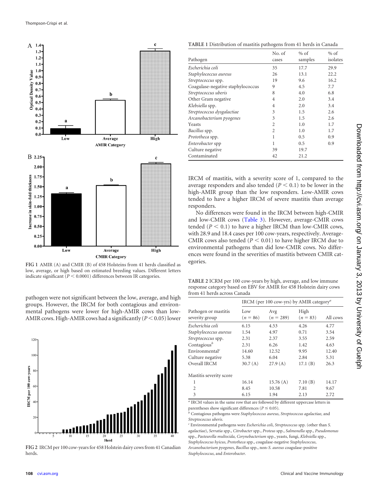

<span id="page-3-0"></span>low, average, or high based on estimated breeding values. Different letters indicate significant  $(P \le 0.0001)$  differences between IR categories.

pathogen were not significant between the low, average, and high groups. However, the IRCM for both contagious and environmental pathogens were lower for high-AMIR cows than low-AMIR cows. High-AMIR cows had a significantly  $(P < 0.05)$  lower



<span id="page-3-1"></span>**FIG 2** IRCM per 100 cow-years for 458 Holstein dairy cows from 41 Canadian herds.

<span id="page-3-2"></span>**TABLE 1** Distribution of mastitis pathogens from 41 herds in Canada

|                                   | No. of         | $%$ of  | $%$ of   |
|-----------------------------------|----------------|---------|----------|
| Pathogen                          | cases          | samples | isolates |
| Escherichia coli                  | 35             | 17.7    | 29.9     |
| Staphylococcus aureus             | 26             | 13.1    | 22.2     |
| Streptococcus spp.                | 19             | 9.6     | 16.2     |
| Coagulase-negative staphylococcus | 9              | 4.5     | 7.7      |
| Streptococcus uberis              | 8              | 4.0     | 6.8      |
| Other Gram negative               | 4              | 2.0     | 3.4      |
| Klebsiella spp.                   | 4              | 2.0     | 3.4      |
| Streptococcus dysgalactiae        | 3              | 1.5     | 2.6      |
| Arcanobacterium pyogenes          | 3              | 1.5     | 2.6      |
| Yeasts                            | $\mathfrak{D}$ | 1.0     | 1.7      |
| Bacillus spp.                     | $\overline{c}$ | 1.0     | 1.7      |
| Prototheca spp.                   | 1              | 0.5     | 0.9      |
| Enterobacter spp                  | 1              | 0.5     | 0.9      |
| Culture negative                  | 39             | 19.7    |          |
| Contaminated                      | 42             | 21.2    |          |

IRCM of mastitis, with a severity score of 1, compared to the average responders and also tended  $(P \le 0.1)$  to be lower in the high-AMIR group than the low responders. Low-AMIR cows tended to have a higher IRCM of severe mastitis than average responders.

No differences were found in the IRCM between high-CMIR and low-CMIR cows [\(Table 3\)](#page-4-0). However, average-CMIR cows tended  $(P < 0.1)$  to have a higher IRCM than low-CMIR cows, with 28.9 and 18.4 cases per 100 cow-years, respectively. Average-CMIR cows also tended  $(P < 0.01)$  to have higher IRCM due to environmental pathogens than did low-CMIR cows. No differences were found in the severities of mastitis between CMIR cat-

<span id="page-3-3"></span>

| TABLE 2 ICRM per 100 cow-years by high, average, and low immune     |
|---------------------------------------------------------------------|
| response category based on EBV for AMIR for 458 Holstein dairy cows |
| from 41 herds across Canada                                         |

|                                        | IRCM (per 100 cow-yrs) by AMIR category <sup><i>a</i></sup> |                    |                    |          |
|----------------------------------------|-------------------------------------------------------------|--------------------|--------------------|----------|
| Pathogen or mastitis<br>severity group | Low<br>$(n = 86)$                                           | Avg<br>$(n = 289)$ | High<br>$(n = 83)$ | All cows |
| Escherichia coli                       | 6.15                                                        | 4.53               | 4.26               | 4.77     |
| Staphylococcus aureus                  | 1.54                                                        | 4.97               | 0.71               | 3.54     |
| Streptococcus spp.                     | 2.31                                                        | 2.37               | 3.55               | 2.59     |
| Contagious <sup>b</sup>                | 2.31                                                        | 6.26               | 1.42               | 4.63     |
| Environmental <sup>c</sup>             | 14.60                                                       | 12.52              | 9.95               | 12.40    |
| Culture negative                       | 5.38                                                        | 6.04               | 2.84               | 5.31     |
| Overall IRCM                           | 30.7(A)                                                     | 27.9(A)            | 17.1(B)            | 26.3     |
| Mastitis severity score                |                                                             |                    |                    |          |
| 1                                      | 16.14                                                       | 15.76(A)           | 7.10(B)            | 14.17    |
| $\overline{2}$                         | 8.45                                                        | 10.58              | 7.81               | 9.67     |
| 3                                      | 6.15                                                        | 1.94               | 2.13               | 2.72     |

*<sup>a</sup>* IRCM values in the same row that are followed by different uppercase letters in parentheses show significant differences ( $P \le 0.05$ ).

*<sup>b</sup>* Contagious pathogens were *Staphylococcus aureus*, *Streptococcus agalactiae*, and *Streptococcus uberis.*

*<sup>c</sup>* Environmental pathogens were *Escherichia coli*, *Streptococcus* spp. (other than *S. agalactiae*), *Serratia* spp., *Citrobacter* spp., *Proteus* spp., *Salmonella* spp., *Pseudomonas* spp., *Pasteurella multocida*, *Corynebacterium* spp., yeasts, fungi, *Klebsiella* spp., *Staphylococcus hyicus*, *Prototheca* spp., coagulase-negative *Staphylococcus*, *Arcanobacterium pyogenes*, *Bacillus* spp., non-*S. aureus* coagulase-positive *Staphylococcus*, and *Enterobacter.*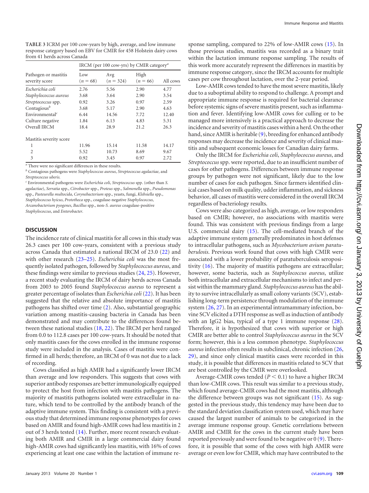<span id="page-4-0"></span>

| <b>TABLE 3</b> ICRM per 100 cow-years by high, average, and low immune |
|------------------------------------------------------------------------|
| response category based on EBV for CMIR for 458 Holstein dairy cows    |
| from 41 herds across Canada                                            |
|                                                                        |

| Pathogen or mastitis<br>severity score                                                                                                                    | IRCM (per 100 cow-yrs) by CMIR category <sup><i>a</i></sup> |                                               |                                              |                                               |
|-----------------------------------------------------------------------------------------------------------------------------------------------------------|-------------------------------------------------------------|-----------------------------------------------|----------------------------------------------|-----------------------------------------------|
|                                                                                                                                                           | Low<br>$(n = 68)$                                           | Avg<br>$(n = 324)$                            | High<br>$(n = 66)$                           | All cows                                      |
| Escherichia coli<br>Staphylococcus aureus<br>Streptococcus spp.<br>Contagious <sup>b</sup><br>Environmental <sup><math>c</math></sup><br>Culture negative | 2.76<br>3.68<br>0.92<br>3.68<br>6.44<br>1.84                | 5.56<br>3.64<br>3.26<br>5.17<br>14.56<br>6.13 | 2.90<br>2.90<br>0.97<br>2.90<br>7.72<br>4.83 | 4.77<br>3.54<br>2.59<br>4.63<br>12.40<br>5.31 |
| Overall IRCM<br>Mastitis severity score<br>1<br>$\overline{c}$<br>3                                                                                       | 18.4<br>11.96<br>5.52<br>0.92                               | 28.9<br>15.14<br>10.73<br>3.45                | 21.2<br>11.58<br>8.69<br>0.97                | 26.3<br>14.17<br>9.67<br>2.72                 |

*<sup>a</sup>* There were no significant differences in these results.

*<sup>b</sup>* Contagious pathogens were *Staphylococcus aureus*, *Streptococcus agalactiae*, and *Streptococcus uberis.*

*<sup>c</sup>* Environmental pathogens were *Escherichia coli*, *Streptococcus* spp. (other than *S. agalactiae*), *Serratia* spp., *Citrobacter* spp., *Proteus* spp., *Salmonella* spp., *Pseudomonas* spp., *Pasteurella multocida*, *Corynebacterium* spp., yeasts, fungi, *Klebsiella* spp., *Staphylococcus hyicus*, *Prototheca* spp., coagulase-negative *Staphylococcus*, *Arcanobacterium pyogenes*, *Bacillus* spp., non-*S. aureus* coagulase-positive

*Staphylococcus*, and *Enterobacter.*

## **DISCUSSION**

The incidence rate of clinical mastitis for all cows in this study was 26.3 cases per 100 cow-years, consistent with a previous study across Canada that estimated a national IRCM of 23.0 [\(22\)](#page-6-19) and with other research [\(23](#page-6-20)[–25\)](#page-6-21). *Escherichia coli* was the most frequently isolated pathogen, followed by *Staphylococcus aureus*, and these findings were similar to previous studies [\(24,](#page-6-22) [25\)](#page-6-21). However, a recent study evaluating the IRCM of dairy herds across Canada from 2003 to 2005 found *Staphylococcus aureus* to represent a greater percentage of isolates than *Escherichia coli*[\(22\)](#page-6-19). It has been suggested that the relative and absolute importance of mastitis pathogens has shifted over time [\(2\)](#page-6-1). Also, substantial geographic variation among mastitis-causing bacteria in Canada has been demonstrated and may contribute to the differences found between these national studies [\(18,](#page-6-15) [22\)](#page-6-19). The IRCM per herd ranged from 0.0 to 112.8 cases per 100 cow-years. It should be noted that only mastitis cases for the cows enrolled in the immune response study were included in the analysis. Cases of mastitis were confirmed in all herds; therefore, an IRCM of 0 was not due to a lack of recording.

Cows classified as high AMIR had a significantly lower IRCM than average and low responders. This suggests that cows with superior antibody responses are better immunologically equipped to protect the host from infection with mastitis pathogens. The majority of mastitis pathogens isolated were extracellular in nature, which tend to be controlled by the antibody branch of the adaptive immune system. This finding is consistent with a previous study that determined immune response phenotypes for cows based on AMIR and found high-AMIR cows had less mastitis in 2 out of 3 herds tested [\(14\)](#page-6-11). Further, more recent research evaluating both AMIR and CMIR in a large commercial dairy found high-AMIR cows had significantly less mastitis, with 16% of cows experiencing at least one case within the lactation of immune response sampling, compared to 22% of low-AMIR cows [\(15\)](#page-6-12). In those previous studies, mastitis was recorded as a binary trait within the lactation immune response sampling. The results of this work more accurately represent the differences in mastitis by immune response category, since the IRCM accounts for multiple cases per cow throughout lactation, over the 2-year period.

Low-AMIR cows tended to have the most severe mastitis, likely due to a suboptimal ability to respond to challenge. A prompt and appropriate immune response is required for bacterial clearance before systemic signs of severe mastitis present, such as inflammation and fever. Identifying low-AMIR cows for culling or to be managed more intensively is a practical approach to decrease the incidence and severity of mastitis cases within a herd. On the other hand, since AMIR is heritable [\(9\)](#page-6-6), breeding for enhanced antibody responses may decrease the incidence and severity of clinical mastitis and subsequent economic losses for Canadian dairy farms.

Only the IRCM for *Escherichia coli*, *Staphylococcus aureus*, and *Streptococcus* spp. were reported, due to an insufficient number of cases for other pathogens. Differences between immune response groups by pathogen were not significant, likely due to the low number of cases for each pathogen. Since farmers identified clinical cases based on milk quality, udder inflammation, and sickness behavior, all cases of mastitis were considered in the overall IRCM regardless of bacteriology results.

Cows were also categorized as high, average, or low responders based on CMIR; however, no associations with mastitis were found. This was consistent with previous findings from a large U.S. commercial dairy [\(15\)](#page-6-12). The cell-mediated branch of the adaptive immune system generally predominates in host defenses to intracellular pathogens, such as *Mycobacterium avium paratuberulosis*. Previous work found that cows with high CMIR were associated with a lower probability of paratuberculosis seropositivity [\(16\)](#page-6-13). The majority of mastitis pathogens are extracellular; however, some bacteria, such as *Staphylococcus aureus*, utilize both intracellular and extracellular mechanisms to infect and persist within the mammary gland. *Staphylococcus aureus* has the ability to survive intracellularly as small colony variants (SCV), establishing long-term persistence through modulation of the immune system [\(26,](#page-6-23) [27\)](#page-6-24). In an experimental intramammary infection, bovine SCV elicited a DTH response as well as induction of antibody with an IgG2 bias, typical of a type 1 immune response [\(28\)](#page-6-25). Therefore, it is hypothesized that cows with superior or high CMIR are better able to control *Staphylococcus aureus* in the SCV form; however, this is a less common phenotype. *Staphylococcus aureus* infection often results in subclinical, chronic infection [\(26,](#page-6-23) [29\)](#page-6-26), and since only clinical mastitis cases were recorded in this study, it is possible that differences in mastitis related to SCV that are best controlled by the CMIR were overlooked.

Average-CMIR cows tended  $(P < 0.1)$  to have a higher IRCM than low-CMIR cows. This result was similar to a previous study, which found average-CMIR cows had the most mastitis, although the difference between groups was not significant [\(15\)](#page-6-12). As suggested in the previous study, this tendency may have been due to the standard deviation classification system used, which may have caused the largest number of animals to be categorized in the average immune response group. Genetic correlations between AMIR and CMIR for the cows in the current study have been reported previously and were found to be negative or 0 [\(9\)](#page-6-6). Therefore, it is possible that some of the cows with high AMIR were average or even low for CMIR, which may have contributed to the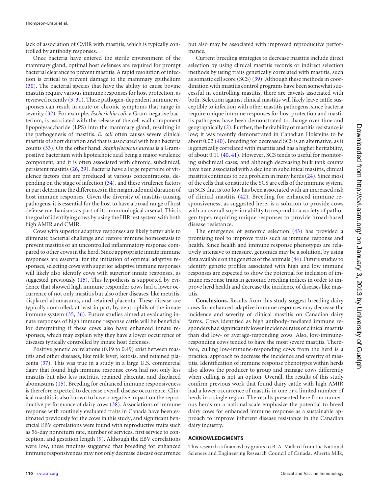lack of association of CMIR with mastitis, which is typically controlled by antibody responses.

Once bacteria have entered the sterile environment of the mammary gland, optimal host defenses are required for prompt bacterial clearance to prevent mastitis. A rapid resolution of infection is critical to prevent damage to the mammary epithelium [\(30\)](#page-6-27). The bacterial species that have the ability to cause bovine mastitis require various immune responses for host protection, as reviewed recently [\(3,](#page-6-2) [31\)](#page-6-28). These pathogen-dependent immune responses can result in acute or chronic symptoms that range in severity [\(32\)](#page-6-29). For example, *Escherichia coli*, a Gram-negative bacterium, is associated with the release of the cell wall component lipopolysaccharide (LPS) into the mammary gland, resulting in the pathogenesis of mastitis. *E. coli* often causes severe clinical mastitis of short duration and that is associated with high bacteria counts [\(33\)](#page-6-30). On the other hand, *Staphylococcus aureus* is a Grampositive bacterium with lipoteichoic acid being a major virulence component, and it is often associated with chronic, subclinical, persistent mastitis [\(26,](#page-6-23) [29\)](#page-6-26). Bacteria have a large repertoire of virulence factors that are produced at various concentrations, depending on the stage of infection [\(34\)](#page-6-31), and these virulence factors in part determine the differences in the magnitude and duration of host immune responses. Given the diversity of mastitis-causing pathogens, it is essential for the host to have a broad range of host defense mechanisms as part of its immunological arsenal. This is the goal of identifying cows by using the HIR test system with both high AMIR and CMIR.

Cows with superior adaptive responses are likely better able to eliminate bacterial challenge and restore immune homeostasis to prevent mastitis or an uncontrolled inflammatory response compared to other cows in the herd. Since appropriate innate immune responses are essential for the initiation of optimal adaptive responses, selecting cows with superior adaptive immune responses will likely also identify cows with superior innate responses, as suggested previously [\(15\)](#page-6-12). This hypothesis is supported by evidence that showed high immune responder cows had a lower occurrence of not only mastitis but also other diseases, like metritis, displaced abomasums, and retained placenta. These disease are typically controlled, at least in part, by neutrophils of the innate immune system [\(35,](#page-6-32) [36\)](#page-6-33). Future studies aimed at evaluating innate responses of high immune response cattle will be beneficial for determining if these cows also have enhanced innate responses, which may explain why they have a lower occurrence of diseases typically controlled by innate host defenses.

Positive genetic correlations (0.19 to 0.49) exist between mastitis and other diseases, like milk fever, ketosis, and retained placenta [\(37\)](#page-6-34). This was true in a study in a large U.S. commercial dairy that found high immune response cows had not only less mastitis but also less metritis, retained placenta, and displaced abomasums [\(15\)](#page-6-12). Breeding for enhanced immune responsiveness is therefore expected to decrease overall disease occurrence. Clinical mastitis is also known to have a negative impact on the reproductive performance of dairy cows [\(38\)](#page-6-35). Associations of immune response with routinely evaluated traits in Canada have been estimated previously for the cows in this study, and significant beneficial EBV correlations were found with reproductive traits such as 56-day nonreturn rate, number of services, first service to conception, and gestation length [\(9\)](#page-6-6). Although the EBV correlations were low, these findings suggested that breeding for enhanced immune responsiveness may not only decrease disease occurrence

but also may be associated with improved reproductive performance.

Current breeding strategies to decrease mastitis include direct selection by using clinical mastitis records or indirect selection methods by using traits genetically correlated with mastitis, such as somatic cell score (SCS) [\(39\)](#page-6-36). Although these methods in coordination with mastitis control programs have been somewhat successful in controlling mastitis, there are caveats associated with both. Selection against clinical mastitis will likely leave cattle susceptible to infection with other mastitis pathogens, since bacteria require unique immune responses for host protection and mastitis pathogens have been demonstrated to change over time and geographically [\(2\)](#page-6-1). Further, the heritability of mastitis resistance is low; it was recently demonstrated in Canadian Holsteins to be about 0.02 [\(40\)](#page-7-0). Breeding for decreased SCS is an alternative, as it is genetically correlated with mastitis and has a higher heritability, of about 0.11 [\(40,](#page-7-0) [41\)](#page-7-1). However, SCS tends to useful for monitoring subclinical cases, and although decreasing bulk tank counts have been associated with a decline in subclinical mastitis, clinical mastitis continues to be a problem in many herds [\(24\)](#page-6-22). Since most of the cells that constitute the SCS are cells of the immune system, an SCS that is too low has been associated with an increased risk of clinical mastitis [\(42\)](#page-7-2). Breeding for enhanced immune responsiveness, as suggested here, is a solution to provide cows with an overall superior ability to respond to a variety of pathogen types requiring unique responses to provide broad-based disease resistance.

The emergence of genomic selection [\(43\)](#page-7-3) has provided a promising tool to improve traits such as immune response and health. Since health and immune response phenotypes are relatively intensive to measure, genomics may be a solution, by using data available on the genetics of the animals [\(44\)](#page-7-4). Future studies to identify genetic profiles associated with high and low immune responses are expected to show the potential for inclusion of immune response traits in genomic breeding indices in order to improve herd health and decrease the incidence of diseases like mastitis.

**Conclusions.** Results from this study suggest breeding dairy cows for enhanced adaptive immune responses may decrease the incidence and severity of clinical mastitis on Canadian dairy farms. Cows identified as high antibody-mediated immune responders had significantly lower incidence rates of clinical mastitis than did low- or average-responding cows. Also, low-immuneresponding cows tended to have the most severe mastitis. Therefore, culling low-immune-responding cows from the herd is a practical approach to decrease the incidence and severity of mastitis. Identification of immune response phenotypes within herds also allows the producer to group and manage cows differently when culling is not an option. Overall, the results of this study confirm previous work that found dairy cattle with high AMIR had a lower occurrence of mastitis in one or a limited number of herds in a single region. The results presented here from numerous herds on a national scale emphasize the potential to breed dairy cows for enhanced immune response as a sustainable approach to improve inherent disease resistance in the Canadian dairy industry.

## **ACKNOWLEDGMENTS**

This research is financed by grants to B. A. Mallard from the National Sciences and Engineering Research Council of Canada, Alberta Milk,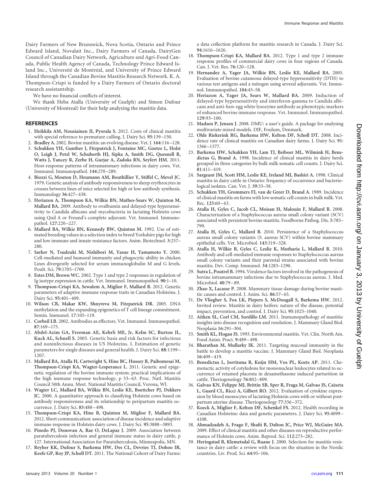Dairy Farmers of New Brunswick, Nova Scotia, Ontario and Prince Edward Island, Novalait Inc., Dairy Farmers of Canada, DairyGen Council of Canadian Dairy Network, Agriculture and Agri-Food Canada, Public Health Agency of Canada, Technology Prince Edward Island Inc., Université de Montréal, and University of Prince Edward Island through the Canadian Bovine Mastitis Research Network. K. A. Thompson-Crispi is funded by a Dairy Farmers of Ontario doctoral research assistantship.

We have no financial conflicts of interest.

We thank Heba Atalla (University of Guelph) and Simon Dufour (University of Montreal) for their help analyzing the mastitis data.

### <span id="page-6-0"></span>**REFERENCES**

- <span id="page-6-1"></span>1. **Heikkila AM, Nousiainen JI, Pyorala S.** 2012. Costs of clinical mastitis with special reference to premature culling. J. Dairy Sci. **95**:139 –150.
- <span id="page-6-2"></span>2. **Bradley A.** 2002. Bovine mastitis: an evolving disease. Vet. J. **164**:116 –128.
- 3. **Schukken YH, Gunther J, Fitzpatrick J, Fontaine MC, Goetze L, Holst O, Leigh J, Petzl W, Schuberth HJ, Sipka A, Smith DG, Quesnell R, Watts J, Yancey R, Zerbe H, Gurjar A, Zadoks RN, Seyfert HM.** 2011. Host-response patterns of intramammary infections in dairy cows. Vet. Immunol. Immunopathol. **144**:270 –289.
- <span id="page-6-3"></span>4. **Biozzi G, Mouton D, Heumann AM, Bouthillier Y, Stiffel C, Mevel JC.** 1979. Genetic analysis of antibody responsiveness to sheep erythrocytes in crosses between lines of mice selected for high or low antibody synthesis. Immunology **36**:427–438.
- 5. **Heriazon A, Thompson KA, Wilkie BN, Mathes-Sears W, Quinton M, Mallard BA.** 2009. Antibody to ovalbumin and delayed-type hypersensitivity to Candida albicans and mycobacteria in lactating Holstein cows using Quil A or Freund's complete adjuvant. Vet. Immunol. Immunopathol. **127**:220 –227.
- 6. **Mallard BA, Wilkie BN, Kennedy BW, Quinton M.** 1992. Use of estimated breeding values in a selection index to breed Yorkshire pigs for high and low immune and innate resistance factors. Anim. Biotechnol. **3**:257– 280.
- <span id="page-6-4"></span>7. **Sarker N, Tsudzuki M, Nishibori M, Yasue H, Yamamoto Y.** 2000. Cell-mediated and humoral immunity and phagocytic ability in chicken Lines divergently selected for serum immunoglobulin M and G levels. Poult. Sci. **79**:1705–1709.
- <span id="page-6-6"></span><span id="page-6-5"></span>8. **Estes DM, Brown WC.** 2002. Type 1 and type 2 responses in regulation of Ig isotype expression in cattle. Vet. Immunol. Immunopathol. **90**:1–10.
- 9. **Thompson-Crispi KA, Sewalem A, Miglior F, Mallard B.** 2012. Genetic parameters of adaptive immune response traits in Canadian Holsteins. J. Dairy Sci. **95**:401–409.
- <span id="page-6-7"></span>10. **Wilson CB, Makar KW, Shnyreva M, Fitzpatrick DR.** 2005. DNA methylation and the expanding epigenetics of T cell lineage commitment. Semin. Immunol. **17**:105–119.
- <span id="page-6-9"></span><span id="page-6-8"></span>11. **Corbeil LB.** 2002. Antibodies as effectors. Vet. Immunol. Immunopathol. **87**:169 –175.
- 12. **Abdel-Azim GA, Freeman AE, Kehrli ME, Jr, Kelm SC, Burton JL, Kuck AL, Schnell S.** 2005. Genetic basis and risk factors for infectious and noninfectious diseases in US Holsteins. I. Estimation of genetic parameters for single diseases and general health. J. Dairy Sci. **88**:1199 – 1207.
- <span id="page-6-10"></span>13. **Mallard BA, Atalla H, Cartwright S, Hine BC, Hussey B, Paibomesai M, Thompson-Crispi KA, Wagter-Lesperance L.** 2011. Genetic and epigenetic regulation of the bovine immune system: practical implications of the high immune response technology, p 53–63. Proc. Natl. Mastitis Council 50th Annu. Meet. National Mastitis Council, Verona, WI.
- <span id="page-6-11"></span>14. **Wagter LC, Mallard BA, Wilkie BN, Leslie KE, Boettcher PJ, Dekkers JC.** 2000. A quantitative approach to classifying Holstein cows based on antibody responsiveness and its relationship to peripartum mastitis occurrence. J. Dairy Sci. **83**:488 –498.
- <span id="page-6-13"></span><span id="page-6-12"></span>15. **Thompson-Crispi KA, Hine B, Quinton M, Miglior F, Mallard BA.** 2012. Short communication: association of disease incidence and adaptive immune response in Holstein dairy cows. J. Dairy Sci. **95**:3888 –3893.
- <span id="page-6-14"></span>16. **Pinedo PJ, Donovan A, Rae O, DeLapaz J.** 2009. Association between paratuberculosis infection and general immune status in dairy cattle, p 127. International Association for Paratuberculosis, Minneapolis, MN.
- 17. **Reyher KK, Dufour S, Barkema HW, Des CL, Devries TJ, Dohoo IR, Keefe GP, Roy JP, Scholl DT.** 2011. The National Cohort of Dairy Farms:
- <span id="page-6-15"></span>18. **Thompson-Crispi KA, Mallard BA.** 2012. Type 1 and type 2 immune response profiles of commercial dairy cows in four regions of Canada. Can. J. Vet. Res. **76**:120 –128.
- <span id="page-6-16"></span>19. **Hernandez A, Yager JA, Wilkie BN, Leslie KE, Mallard BA.** 2005. Evaluation of bovine cutaneous delayed-type hypersensitivity (DTH) to various test antigens and a mitogen using several adjuvants. Vet. Immunol. Immunopathol. **104**:45–58.
- <span id="page-6-17"></span>20. **Heriazon A, Yager JA, Sears W, Mallard BA.** 2009. Induction of delayed-type hypersensitivity and interferon-gamma to Candida albicans and anti-hen-egg white lysozyme antibody as phenotypic markers of enhanced bovine immune response. Vet. Immunol. Immunopathol. **129**:93–100.
- <span id="page-6-19"></span><span id="page-6-18"></span>21. **Madsen P, Jensen J.** 2008. DMU: a user's guide. A package for analysing multivariate mixed models. DJF, Foulum, Denmark.
- 22. **Olde Riekerink RG, Barkema HW, Kelton DF, Scholl DT.** 2008. Incidence rate of clinical mastitis on Canadian dairy farms. J. Dairy Sci. **91**: 1366 –1377.
- <span id="page-6-20"></span>23. **Barkema HW, Schukken YH, Lam TJ, Beiboer ML, Wilmink H, Benedictus G, Brand A.** 1998. Incidence of clinical mastitis in dairy herds grouped in three categories by bulk milk somatic cell counts. J. Dairy Sci. **81**:411–419.
- <span id="page-6-22"></span>24. **Sargeant JM, Scott HM, Leslie KE, Ireland MJ, Bashiri A.** 1998. Clinical mastitis in dairy cattle in Ontario: frequency of occurrence and bacteriological isolates. Can. Vet. J. **39**:33–38.
- <span id="page-6-21"></span>25. **Schukken YH, Grommers FJ, van de Greer D, Brand A.** 1989. Incidence of clinical mastitis on farms with low somatic cell counts in bulk milk. Vet. Rec. **125**:60 –63.
- <span id="page-6-23"></span>26. **Atalla H, Gyles C, Jacob CL, Moisan H, Malouin F, Mallard B.** 2008. Characterization of a Staphylococcus aureus small colony variant (SCV) associated with persistent bovine mastitis. Foodborne Pathog. Dis. **5**:785– 799.
- <span id="page-6-24"></span>27. **Atalla H, Gyles C, Mallard B.** 2010. Persistence of a Staphylococcus aureus small colony variants (S. aureus SCV) within bovine mammary epithelial cells. Vet. Microbiol. **143**:319 –328.
- <span id="page-6-25"></span>28. **Atalla H, Wilkie B, Gyles C, Leslie K, Mutharia L, Mallard B.** 2010. Antibody and cell-mediated immune responses to Staphylococcus aureus small colony variants and their parental strains associated with bovine mastitis. Dev. Comp. Immunol. **34**:1283–1290.
- <span id="page-6-27"></span><span id="page-6-26"></span>29. **Sutra L, Poutrel B.** 1994. Virulence factors involved in the pathogenesis of bovine intramammary infections due to Staphylococcus aureus. J. Med. Microbiol. **40**:79 –89.
- <span id="page-6-28"></span>30. **Zhao X, Lacasse P.** 2008. Mammary tissue damage during bovine mastitis: causes and control. J. Anim. Sci. **86**:57–65.
- <span id="page-6-29"></span>31. **De Vliegher S, Fox LK, Piepers S, McDougall S, Barkema HW.** 2012. Invited review. Mastitis in dairy heifers: nature of the disease, potential impact, prevention, and control. J. Dairy Sci. **95**:1025–1040.
- <span id="page-6-30"></span>32. **Aitken SL, Corl CM, Sordillo LM.** 2011. Immunopathology of mastitis: insights into disease recognition and resolution. J. Mammary Gland Biol. Neoplasia **16**:291–304.
- <span id="page-6-31"></span>33. **Smith KL, Hogan JS.** 1993. Environmental mastitis. Vet. Clin. North Am. Food Anim. Pract. **9**:489 –498.
- <span id="page-6-32"></span>34. **Bharathan M, Mullarky IK.** 2011. Targeting mucosal immunity in the battle to develop a mastitis vaccine. J. Mammary Gland Biol. Neoplasia **16**:409 –419.
- 35. **Benedictus L, Jorritsma R, Knijn HM, Vos PL, Koets AP.** 2011. Chemotactic activity of cotyledons for mononuclear leukocytes related to occurrence of retained placenta in dexamethasone induced parturition in cattle. Theriogenology **76**:802–809.
- <span id="page-6-33"></span>36. **Galvao KN, Felippe MJ, Brittin SB, Sper R, Fraga M, Galvao JS, Caixeta L, Guard CL, Ricci A, Gilbert RO.** 2012. Evaluation of cytokine expression by blood monocytes of lactating Holstein cows with or without postpartum uterine disease. Theriogenology **77**:356 –372.
- <span id="page-6-35"></span><span id="page-6-34"></span>37. **Koeck A, Miglior F, Kelton DF, Schenkel FS.** 2012. Health recording in Canadian Holsteins: data and genetic parameters. J. Dairy Sci. **95**:4099 – 4108.
- <span id="page-6-36"></span>38. **Ahmadzadeh A, Frago F, Shafii B, Dalton JC, Price WJ, McGuire MA.** 2009. Effect of clinical mastitis and other diseases on reproductive performance of Holstein cows. Anim. Reprod. Sci. **112**:273–282.
- 39. **Heringstad B, Klemetsdal G, Ruane J.** 2000. Selection for mastitis resistance in dairy cattle: a review with focus on the situation in the Nordic countries. Liv. Prod. Sci. **64**:95–106.